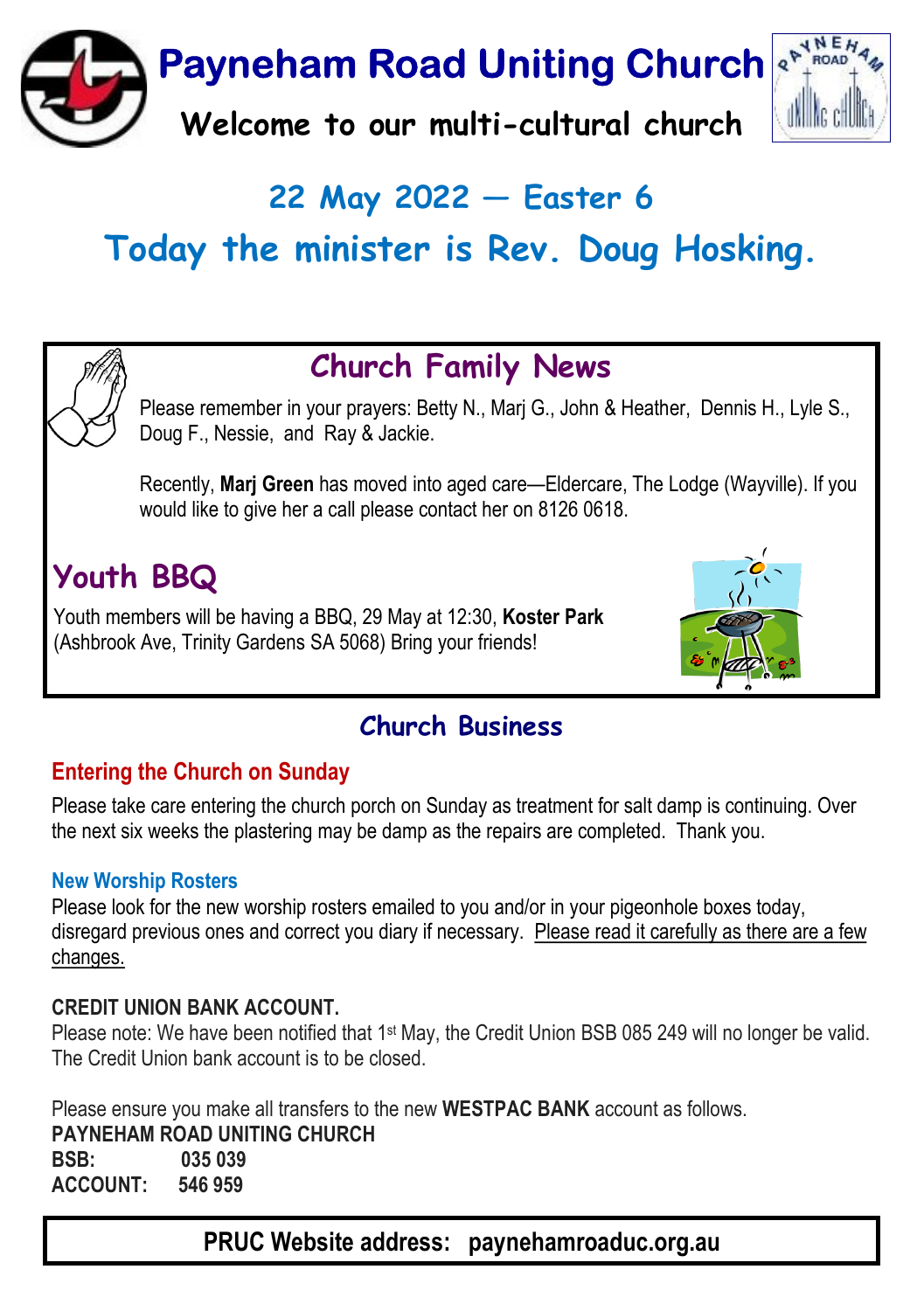**Payneham Road Uniting Church** 

Welcome to our multi-cultural church



## 22 May 2022  $-$  Easter 6

# Today the minister is Rev. Doug Hosking.



## Church Family News

Please remember in your prayers: Betty N., Marj G., John & Heather, Dennis H., Lyle S., Doug F., Nessie, and Ray & Jackie.

Recently, Marj Green has moved into aged care—Eldercare, The Lodge (Wayville). If you would like to give her a call please contact her on 8126 0618.

## **Youth BBQ**

Youth members will be having a BBQ, 29 May at 12:30, Koster Park (Ashbrook Ave, Trinity Gardens SA 5068) Bring your friends!



### Church Business

#### Entering the Church on Sunday

Please take care entering the church porch on Sunday as treatment for salt damp is continuing. Over the next six weeks the plastering may be damp as the repairs are completed. Thank you.

#### New Worship Rosters

Please look for the new worship rosters emailed to you and/or in your pigeonhole boxes today, disregard previous ones and correct you diary if necessary. Please read it carefully as there are a few changes.

#### CREDIT UNION BANK ACCOUNT.

Please note: We have been notified that 1st May, the Credit Union BSB 085 249 will no longer be valid. The Credit Union bank account is to be closed.

Please ensure you make all transfers to the new WESTPAC BANK account as follows.

PAYNEHAM ROAD UNITING CHURCH BSB: 035 039

ACCOUNT: 546 959

PRUC Website address: paynehamroaduc.org.au